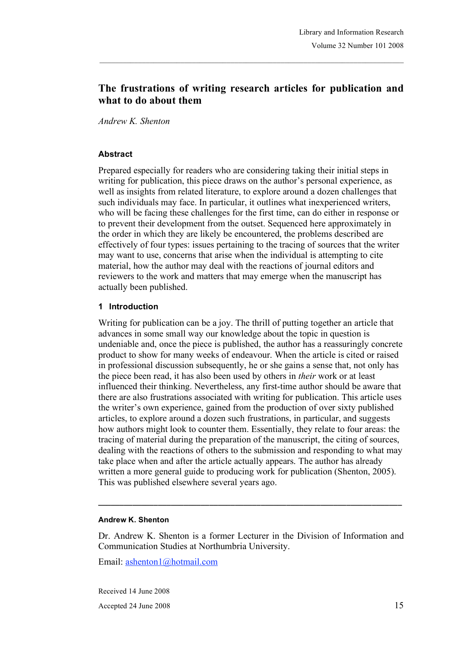# **The frustrations of writing research articles for publication and what to do about them**

*Andrew K. Shenton*

#### **Abstract**

Prepared especially for readers who are considering taking their initial steps in writing for publication, this piece draws on the author's personal experience, as well as insights from related literature, to explore around a dozen challenges that such individuals may face. In particular, it outlines what inexperienced writers, who will be facing these challenges for the first time, can do either in response or to prevent their development from the outset. Sequenced here approximately in the order in which they are likely be encountered, the problems described are effectively of four types: issues pertaining to the tracing of sources that the writer may want to use, concerns that arise when the individual is attempting to cite material, how the author may deal with the reactions of journal editors and reviewers to the work and matters that may emerge when the manuscript has actually been published.

#### **1 Introduction**

Writing for publication can be a joy. The thrill of putting together an article that advances in some small way our knowledge about the topic in question is undeniable and, once the piece is published, the author has a reassuringly concrete product to show for many weeks of endeavour. When the article is cited or raised in professional discussion subsequently, he or she gains a sense that, not only has the piece been read, it has also been used by others in *their* work or at least influenced their thinking. Nevertheless, any first-time author should be aware that there are also frustrations associated with writing for publication. This article uses the writer's own experience, gained from the production of over sixty published articles, to explore around a dozen such frustrations, in particular, and suggests how authors might look to counter them. Essentially, they relate to four areas: the tracing of material during the preparation of the manuscript, the citing of sources, dealing with the reactions of others to the submission and responding to what may take place when and after the article actually appears. The author has already written a more general guide to producing work for publication (Shenton, 2005). This was published elsewhere several years ago.

#### **Andrew K. Shenton**

Dr. Andrew K. Shenton is a former Lecturer in the Division of Information and Communication Studies at Northumbria University.

**\_\_\_\_\_\_\_\_\_\_\_\_\_\_\_\_\_\_\_\_\_\_\_\_\_\_\_\_\_\_\_\_\_\_\_\_\_\_\_\_\_\_\_\_\_\_\_\_\_\_\_\_\_\_\_\_\_\_\_\_\_\_\_\_\_\_\_\_\_\_\_**

Email: ashenton1@hotmail.com

Received 14 June 2008 Accepted 24 June 2008 15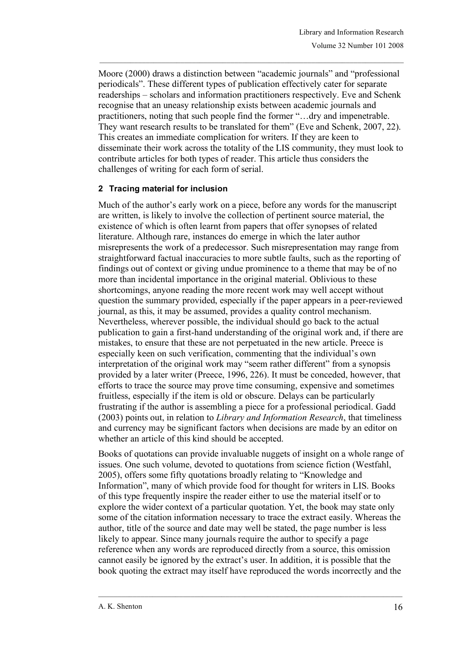Moore (2000) draws a distinction between "academic journals" and "professional periodicals". These different types of publication effectively cater for separate readerships – scholars and information practitioners respectively. Eve and Schenk recognise that an uneasy relationship exists between academic journals and practitioners, noting that such people find the former "…dry and impenetrable. They want research results to be translated for them" (Eve and Schenk, 2007, 22). This creates an immediate complication for writers. If they are keen to disseminate their work across the totality of the LIS community, they must look to contribute articles for both types of reader. This article thus considers the challenges of writing for each form of serial.

#### **2 Tracing material for inclusion**

Much of the author's early work on a piece, before any words for the manuscript are written, is likely to involve the collection of pertinent source material, the existence of which is often learnt from papers that offer synopses of related literature. Although rare, instances do emerge in which the later author misrepresents the work of a predecessor. Such misrepresentation may range from straightforward factual inaccuracies to more subtle faults, such as the reporting of findings out of context or giving undue prominence to a theme that may be of no more than incidental importance in the original material. Oblivious to these shortcomings, anyone reading the more recent work may well accept without question the summary provided, especially if the paper appears in a peer-reviewed journal, as this, it may be assumed, provides a quality control mechanism. Nevertheless, wherever possible, the individual should go back to the actual publication to gain a first-hand understanding of the original work and, if there are mistakes, to ensure that these are not perpetuated in the new article. Preece is especially keen on such verification, commenting that the individual's own interpretation of the original work may "seem rather different" from a synopsis provided by a later writer (Preece, 1996, 226). It must be conceded, however, that efforts to trace the source may prove time consuming, expensive and sometimes fruitless, especially if the item is old or obscure. Delays can be particularly frustrating if the author is assembling a piece for a professional periodical. Gadd (2003) points out, in relation to *Library and Information Research*, that timeliness and currency may be significant factors when decisions are made by an editor on whether an article of this kind should be accepted.

Books of quotations can provide invaluable nuggets of insight on a whole range of issues. One such volume, devoted to quotations from science fiction (Westfahl, 2005), offers some fifty quotations broadly relating to "Knowledge and Information", many of which provide food for thought for writers in LIS. Books of this type frequently inspire the reader either to use the material itself or to explore the wider context of a particular quotation. Yet, the book may state only some of the citation information necessary to trace the extract easily. Whereas the author, title of the source and date may well be stated, the page number is less likely to appear. Since many journals require the author to specify a page reference when any words are reproduced directly from a source, this omission cannot easily be ignored by the extract's user. In addition, it is possible that the book quoting the extract may itself have reproduced the words incorrectly and the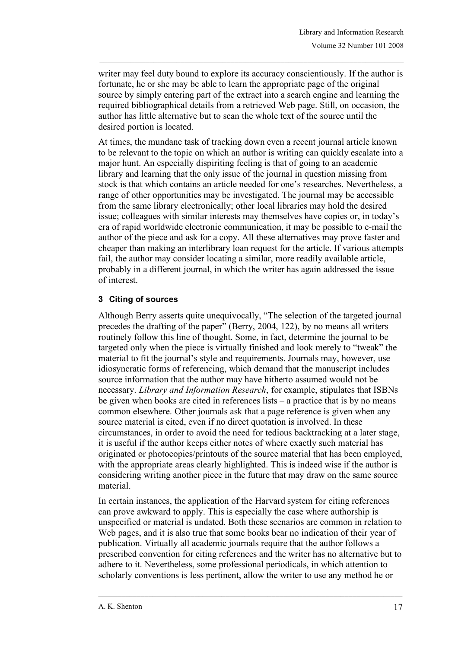writer may feel duty bound to explore its accuracy conscientiously. If the author is fortunate, he or she may be able to learn the appropriate page of the original source by simply entering part of the extract into a search engine and learning the required bibliographical details from a retrieved Web page. Still, on occasion, the author has little alternative but to scan the whole text of the source until the desired portion is located.

At times, the mundane task of tracking down even a recent journal article known to be relevant to the topic on which an author is writing can quickly escalate into a major hunt. An especially dispiriting feeling is that of going to an academic library and learning that the only issue of the journal in question missing from stock is that which contains an article needed for one's researches. Nevertheless, a range of other opportunities may be investigated. The journal may be accessible from the same library electronically; other local libraries may hold the desired issue; colleagues with similar interests may themselves have copies or, in today's era of rapid worldwide electronic communication, it may be possible to e-mail the author of the piece and ask for a copy. All these alternatives may prove faster and cheaper than making an interlibrary loan request for the article. If various attempts fail, the author may consider locating a similar, more readily available article, probably in a different journal, in which the writer has again addressed the issue of interest.

# **3 Citing of sources**

Although Berry asserts quite unequivocally, "The selection of the targeted journal precedes the drafting of the paper" (Berry, 2004, 122), by no means all writers routinely follow this line of thought. Some, in fact, determine the journal to be targeted only when the piece is virtually finished and look merely to "tweak" the material to fit the journal's style and requirements. Journals may, however, use idiosyncratic forms of referencing, which demand that the manuscript includes source information that the author may have hitherto assumed would not be necessary. *Library and Information Research*, for example, stipulates that ISBNs be given when books are cited in references lists – a practice that is by no means common elsewhere. Other journals ask that a page reference is given when any source material is cited, even if no direct quotation is involved. In these circumstances, in order to avoid the need for tedious backtracking at a later stage, it is useful if the author keeps either notes of where exactly such material has originated or photocopies/printouts of the source material that has been employed, with the appropriate areas clearly highlighted. This is indeed wise if the author is considering writing another piece in the future that may draw on the same source material.

In certain instances, the application of the Harvard system for citing references can prove awkward to apply. This is especially the case where authorship is unspecified or material is undated. Both these scenarios are common in relation to Web pages, and it is also true that some books bear no indication of their year of publication. Virtually all academic journals require that the author follows a prescribed convention for citing references and the writer has no alternative but to adhere to it. Nevertheless, some professional periodicals, in which attention to scholarly conventions is less pertinent, allow the writer to use any method he or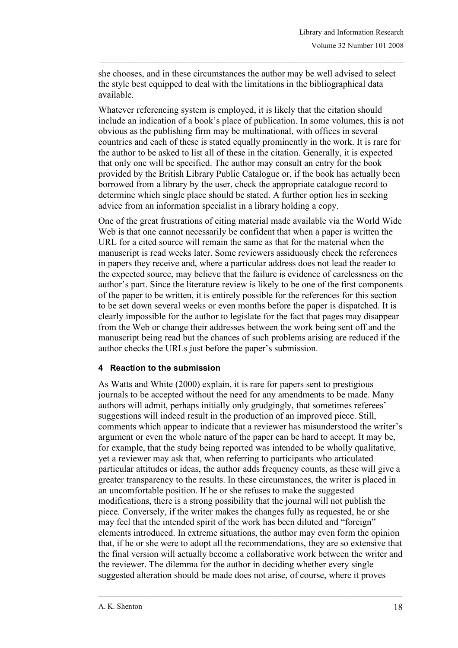she chooses, and in these circumstances the author may be well advised to select the style best equipped to deal with the limitations in the bibliographical data available.

Whatever referencing system is employed, it is likely that the citation should include an indication of a book's place of publication. In some volumes, this is not obvious as the publishing firm may be multinational, with offices in several countries and each of these is stated equally prominently in the work. It is rare for the author to be asked to list all of these in the citation. Generally, it is expected that only one will be specified. The author may consult an entry for the book provided by the British Library Public Catalogue or, if the book has actually been borrowed from a library by the user, check the appropriate catalogue record to determine which single place should be stated. A further option lies in seeking advice from an information specialist in a library holding a copy.

One of the great frustrations of citing material made available via the World Wide Web is that one cannot necessarily be confident that when a paper is written the URL for a cited source will remain the same as that for the material when the manuscript is read weeks later. Some reviewers assiduously check the references in papers they receive and, where a particular address does not lead the reader to the expected source, may believe that the failure is evidence of carelessness on the author's part. Since the literature review is likely to be one of the first components of the paper to be written, it is entirely possible for the references for this section to be set down several weeks or even months before the paper is dispatched. It is clearly impossible for the author to legislate for the fact that pages may disappear from the Web or change their addresses between the work being sent off and the manuscript being read but the chances of such problems arising are reduced if the author checks the URLs just before the paper's submission.

#### **4 Reaction to the submission**

As Watts and White (2000) explain, it is rare for papers sent to prestigious journals to be accepted without the need for any amendments to be made. Many authors will admit, perhaps initially only grudgingly, that sometimes referees' suggestions will indeed result in the production of an improved piece. Still, comments which appear to indicate that a reviewer has misunderstood the writer's argument or even the whole nature of the paper can be hard to accept. It may be, for example, that the study being reported was intended to be wholly qualitative, yet a reviewer may ask that, when referring to participants who articulated particular attitudes or ideas, the author adds frequency counts, as these will give a greater transparency to the results. In these circumstances, the writer is placed in an uncomfortable position. If he or she refuses to make the suggested modifications, there is a strong possibility that the journal will not publish the piece. Conversely, if the writer makes the changes fully as requested, he or she may feel that the intended spirit of the work has been diluted and "foreign" elements introduced. In extreme situations, the author may even form the opinion that, if he or she were to adopt all the recommendations, they are so extensive that the final version will actually become a collaborative work between the writer and the reviewer. The dilemma for the author in deciding whether every single suggested alteration should be made does not arise, of course, where it proves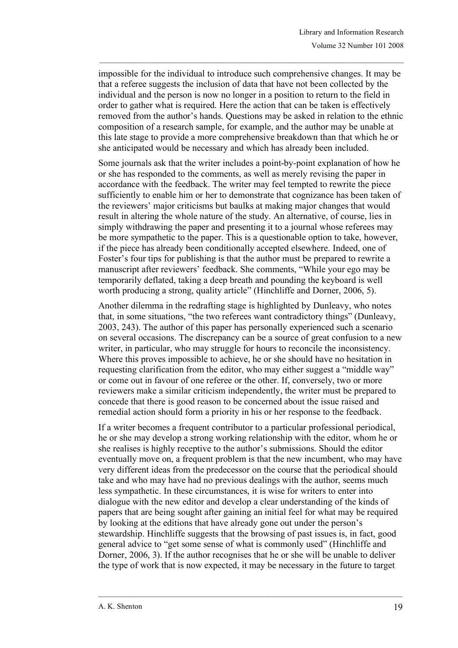impossible for the individual to introduce such comprehensive changes. It may be that a referee suggests the inclusion of data that have not been collected by the individual and the person is now no longer in a position to return to the field in order to gather what is required. Here the action that can be taken is effectively removed from the author's hands. Questions may be asked in relation to the ethnic composition of a research sample, for example, and the author may be unable at this late stage to provide a more comprehensive breakdown than that which he or she anticipated would be necessary and which has already been included.

Some journals ask that the writer includes a point-by-point explanation of how he or she has responded to the comments, as well as merely revising the paper in accordance with the feedback. The writer may feel tempted to rewrite the piece sufficiently to enable him or her to demonstrate that cognizance has been taken of the reviewers' major criticisms but baulks at making major changes that would result in altering the whole nature of the study. An alternative, of course, lies in simply withdrawing the paper and presenting it to a journal whose referees may be more sympathetic to the paper. This is a questionable option to take, however, if the piece has already been conditionally accepted elsewhere. Indeed, one of Foster's four tips for publishing is that the author must be prepared to rewrite a manuscript after reviewers' feedback. She comments, "While your ego may be temporarily deflated, taking a deep breath and pounding the keyboard is well worth producing a strong, quality article" (Hinchliffe and Dorner, 2006, 5).

Another dilemma in the redrafting stage is highlighted by Dunleavy, who notes that, in some situations, "the two referees want contradictory things" (Dunleavy, 2003, 243). The author of this paper has personally experienced such a scenario on several occasions. The discrepancy can be a source of great confusion to a new writer, in particular, who may struggle for hours to reconcile the inconsistency. Where this proves impossible to achieve, he or she should have no hesitation in requesting clarification from the editor, who may either suggest a "middle way" or come out in favour of one referee or the other. If, conversely, two or more reviewers make a similar criticism independently, the writer must be prepared to concede that there is good reason to be concerned about the issue raised and remedial action should form a priority in his or her response to the feedback.

If a writer becomes a frequent contributor to a particular professional periodical, he or she may develop a strong working relationship with the editor, whom he or she realises is highly receptive to the author's submissions. Should the editor eventually move on, a frequent problem is that the new incumbent, who may have very different ideas from the predecessor on the course that the periodical should take and who may have had no previous dealings with the author, seems much less sympathetic. In these circumstances, it is wise for writers to enter into dialogue with the new editor and develop a clear understanding of the kinds of papers that are being sought after gaining an initial feel for what may be required by looking at the editions that have already gone out under the person's stewardship. Hinchliffe suggests that the browsing of past issues is, in fact, good general advice to "get some sense of what is commonly used" (Hinchliffe and Dorner, 2006, 3). If the author recognises that he or she will be unable to deliver the type of work that is now expected, it may be necessary in the future to target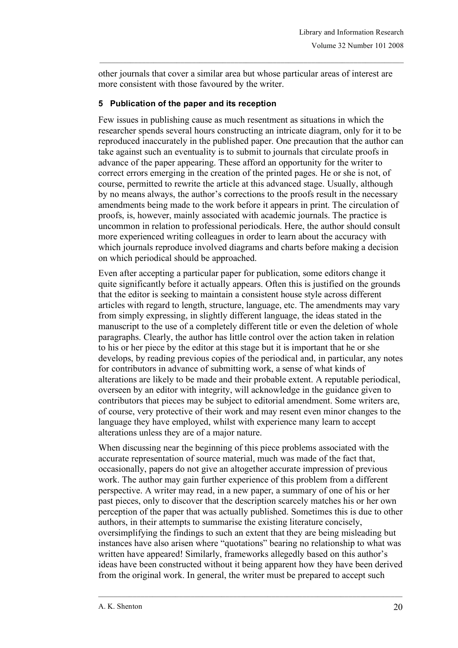other journals that cover a similar area but whose particular areas of interest are more consistent with those favoured by the writer.

### **5 Publication of the paper and its reception**

Few issues in publishing cause as much resentment as situations in which the researcher spends several hours constructing an intricate diagram, only for it to be reproduced inaccurately in the published paper. One precaution that the author can take against such an eventuality is to submit to journals that circulate proofs in advance of the paper appearing. These afford an opportunity for the writer to correct errors emerging in the creation of the printed pages. He or she is not, of course, permitted to rewrite the article at this advanced stage. Usually, although by no means always, the author's corrections to the proofs result in the necessary amendments being made to the work before it appears in print. The circulation of proofs, is, however, mainly associated with academic journals. The practice is uncommon in relation to professional periodicals. Here, the author should consult more experienced writing colleagues in order to learn about the accuracy with which journals reproduce involved diagrams and charts before making a decision on which periodical should be approached.

Even after accepting a particular paper for publication, some editors change it quite significantly before it actually appears. Often this is justified on the grounds that the editor is seeking to maintain a consistent house style across different articles with regard to length, structure, language, etc. The amendments may vary from simply expressing, in slightly different language, the ideas stated in the manuscript to the use of a completely different title or even the deletion of whole paragraphs. Clearly, the author has little control over the action taken in relation to his or her piece by the editor at this stage but it is important that he or she develops, by reading previous copies of the periodical and, in particular, any notes for contributors in advance of submitting work, a sense of what kinds of alterations are likely to be made and their probable extent. A reputable periodical, overseen by an editor with integrity, will acknowledge in the guidance given to contributors that pieces may be subject to editorial amendment. Some writers are, of course, very protective of their work and may resent even minor changes to the language they have employed, whilst with experience many learn to accept alterations unless they are of a major nature.

When discussing near the beginning of this piece problems associated with the accurate representation of source material, much was made of the fact that, occasionally, papers do not give an altogether accurate impression of previous work. The author may gain further experience of this problem from a different perspective. A writer may read, in a new paper, a summary of one of his or her past pieces, only to discover that the description scarcely matches his or her own perception of the paper that was actually published. Sometimes this is due to other authors, in their attempts to summarise the existing literature concisely, oversimplifying the findings to such an extent that they are being misleading but instances have also arisen where "quotations" bearing no relationship to what was written have appeared! Similarly, frameworks allegedly based on this author's ideas have been constructed without it being apparent how they have been derived from the original work. In general, the writer must be prepared to accept such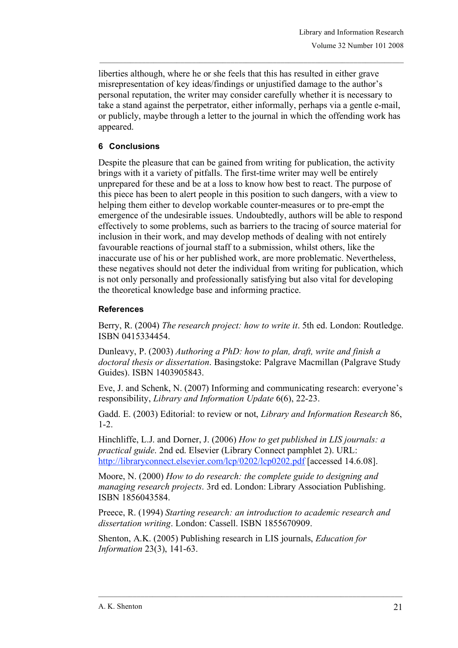liberties although, where he or she feels that this has resulted in either grave misrepresentation of key ideas/findings or unjustified damage to the author's personal reputation, the writer may consider carefully whether it is necessary to take a stand against the perpetrator, either informally, perhaps via a gentle e-mail, or publicly, maybe through a letter to the journal in which the offending work has appeared.

# **6 Conclusions**

Despite the pleasure that can be gained from writing for publication, the activity brings with it a variety of pitfalls. The first-time writer may well be entirely unprepared for these and be at a loss to know how best to react. The purpose of this piece has been to alert people in this position to such dangers, with a view to helping them either to develop workable counter-measures or to pre-empt the emergence of the undesirable issues. Undoubtedly, authors will be able to respond effectively to some problems, such as barriers to the tracing of source material for inclusion in their work, and may develop methods of dealing with not entirely favourable reactions of journal staff to a submission, whilst others, like the inaccurate use of his or her published work, are more problematic. Nevertheless, these negatives should not deter the individual from writing for publication, which is not only personally and professionally satisfying but also vital for developing the theoretical knowledge base and informing practice.

# **References**

Berry, R. (2004) *The research project: how to write it*. 5th ed. London: Routledge. ISBN 0415334454.

Dunleavy, P. (2003) *Authoring a PhD: how to plan, draft, write and finish a doctoral thesis or dissertation*. Basingstoke: Palgrave Macmillan (Palgrave Study Guides). ISBN 1403905843.

Eve, J. and Schenk, N. (2007) Informing and communicating research: everyone's responsibility, *Library and Information Update* 6(6), 22-23.

Gadd. E. (2003) Editorial: to review or not, *Library and Information Research* 86, 1-2.

Hinchliffe, L.J. and Dorner, J. (2006) *How to get published in LIS journals: a practical guide*. 2nd ed. Elsevier (Library Connect pamphlet 2). URL: http://libraryconnect.elsevier.com/lcp/0202/lcp0202.pdf [accessed 14.6.08].

Moore, N. (2000) *How to do research: the complete guide to designing and managing research projects*. 3rd ed. London: Library Association Publishing. ISBN 1856043584.

Preece, R. (1994) *Starting research: an introduction to academic research and dissertation writing*. London: Cassell. ISBN 1855670909.

Shenton, A.K. (2005) Publishing research in LIS journals, *Education for Information* 23(3), 141-63.